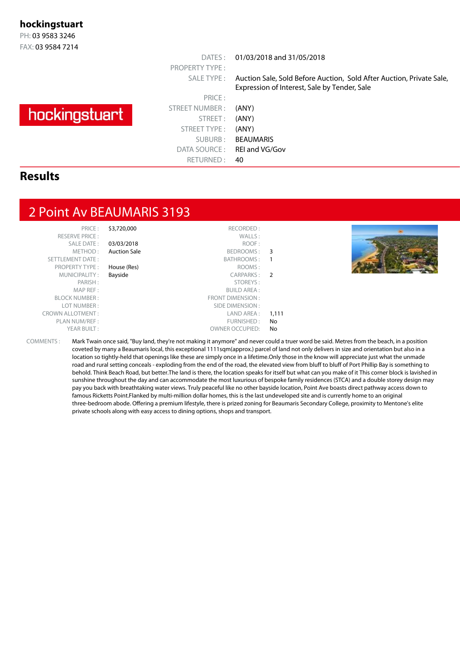#### **hockingstuart**

PH: 03 9583 3246 FAX: 03 9584 7214

# hockingstuart

PRICE : STREET NUMBER : (ANY) STREET: (ANY) STREET TYPE : (ANY) SUBURB : BEAUMARIS DATA SOURCE: REI and VG/Gov RETURNED: 40

PROPERTY TYPE :

DATES : 01/03/2018 and 31/05/2018

SALE TYPE : Auction Sale, Sold Before Auction, Sold After Auction, Private Sale, Expression of Interest, Sale by Tender, Sale

#### **Results**

#### 2 Point Av BEAUMARIS 3193

| PRICE:<br><b>RESERVE PRICE:</b><br>SALE DATE:<br>METHOD:<br><b>SETTLEMENT DATE:</b><br><b>PROPERTY TYPE:</b> | \$3,720,000<br>03/03/2018<br><b>Auction Sale</b><br>House (Res) | RECORDED:<br>WALLS:<br>ROOF:<br>BEDROOMS: 3<br>BATHROOMS:<br>ROOMS: |       |  |
|--------------------------------------------------------------------------------------------------------------|-----------------------------------------------------------------|---------------------------------------------------------------------|-------|--|
| MUNICIPALITY:                                                                                                | Bayside                                                         | CARPARKS: 2                                                         |       |  |
| PARISH:                                                                                                      |                                                                 | STOREYS:                                                            |       |  |
| MAP REF:                                                                                                     |                                                                 | <b>BUILD AREA:</b>                                                  |       |  |
| <b>BLOCK NUMBER:</b>                                                                                         |                                                                 | FRONT DIMENSION:                                                    |       |  |
| LOT NUMBER:                                                                                                  |                                                                 | SIDE DIMENSION :                                                    |       |  |
| <b>CROWN ALLOTMENT:</b>                                                                                      |                                                                 | LAND AREA :                                                         | 1,111 |  |
| PLAN NUM/REF:                                                                                                |                                                                 | FURNISHED:                                                          | No    |  |
| YEAR BUILT:                                                                                                  |                                                                 | <b>OWNER OCCUPIED:</b>                                              | No    |  |

COMMENTS : Mark Twain once said, "Buy land, they're not making it anymore" and never could a truer word be said. Metres from the beach, in a position coveted by many a Beaumaris local, this exceptional 1111sqm(approx.) parcel of land not only delivers in size and orientation but also in a location so tightly-held that openings like these are simply once in a lifetime.Only those in the know will appreciate just what the unmade road and rural setting conceals - exploding from the end of the road, the elevated view from bluff to bluff of Port Phillip Bay is something to behold. Think Beach Road, but better.The land is there, the location speaks for itself but what can you make of it This corner block is lavished in sunshine throughout the day and can accommodate the most luxurious of bespoke family residences (STCA) and a double storey design may pay you back with breathtaking water views. Truly peaceful like no other bayside location, Point Ave boasts direct pathway access down to famous Ricketts Point.Flanked by multi-million dollar homes, this is the last undeveloped site and is currently home to an original three-bedroom abode. Offering a premium lifestyle, there is prized zoning for Beaumaris Secondary College, proximity to Mentone's elite private schools along with easy access to dining options, shops and transport.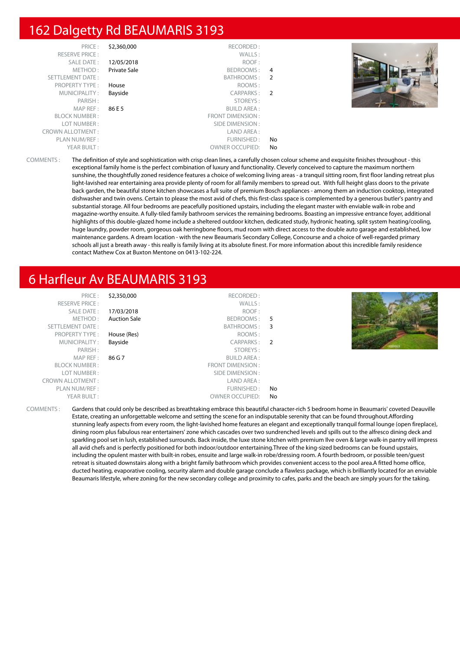# 162 Dalgetty Rd BEAUMARIS 3193

| PRICE:                  | \$2,360,000  | RECORDED:               |                |
|-------------------------|--------------|-------------------------|----------------|
| <b>RESERVE PRICE:</b>   |              | WALLS:                  |                |
| <b>SALE DATE:</b>       | 12/05/2018   | ROOF:                   |                |
| METHOD:                 | Private Sale | BEDROOMS:               | 4              |
| <b>SETTLEMENT DATE:</b> |              | BATHROOMS:              | $\overline{2}$ |
| <b>PROPERTY TYPE:</b>   | House        | ROOMS:                  |                |
| MUNICIPALITY:           | Bayside      | CARPARKS:               | $\overline{2}$ |
| PARISH:                 |              | STOREYS:                |                |
| MAP REF:                | 86 E 5       | <b>BUILD AREA:</b>      |                |
| <b>BLOCK NUMBER:</b>    |              | <b>FRONT DIMENSION:</b> |                |
| LOT NUMBER:             |              | SIDE DIMENSION:         |                |
| <b>CROWN ALLOTMENT:</b> |              | LAND AREA:              |                |
| PLAN NUM/REF:           |              | FURNISHED:              | No             |
| YEAR BUILT:             |              | <b>OWNER OCCUPIED:</b>  | No             |



COMMENTS : The definition of style and sophistication with crisp clean lines, a carefully chosen colour scheme and exquisite finishes throughout - this exceptional family home is the perfect combination of luxury and functionality. Cleverly conceived to capture the maximum northern sunshine, the thoughtfully zoned residence features a choice of welcoming living areas - a tranquil sitting room, first floor landing retreat plus light-lavished rear entertaining area provide plenty of room for all family members to spread out. With full height glass doors to the private back garden, the beautiful stone kitchen showcases a full suite of premium Bosch appliances - among them an induction cooktop, integrated dishwasher and twin ovens. Certain to please the most avid of chefs, this first-class space is complemented by a generous butler's pantry and substantial storage. All four bedrooms are peacefully positioned upstairs, including the elegant master with enviable walk-in robe and magazine-worthy ensuite. A fully-tiled family bathroom services the remaining bedrooms. Boasting an impressive entrance foyer, additional highlights of this double-glazed home include a sheltered outdoor kitchen, dedicated study, hydronic heating, split system heating/cooling, huge laundry, powder room, gorgeous oak herringbone floors, mud room with direct access to the double auto garage and established, low maintenance gardens. A dream location - with the new Beaumaris Secondary College, Concourse and a choice of well-regarded primary schools all just a breath away - this really is family living at its absolute finest. For more information about this incredible family residence contact Mathew Cox at Buxton Mentone on 0413-102-224.

#### 6 Harfleur Av BEAUMARIS 3193

| PRICE:<br><b>RESERVE PRICE:</b><br>SALE DATE:<br>METHOD:<br>SETTLEMENT DATE: | \$2,350,000<br>17/03/2018<br><b>Auction Sale</b> | RECORDED:<br>WALLS:<br>ROOF:<br>BEDROOMS: 5<br>BATHROOMS: 3 |    |  |
|------------------------------------------------------------------------------|--------------------------------------------------|-------------------------------------------------------------|----|--|
| <b>PROPERTY TYPE:</b><br>MUNICIPALITY:                                       | House (Res)<br>Bayside                           | ROOMS:<br>CARPARKS: 2                                       |    |  |
| PARISH:                                                                      |                                                  | STOREYS:                                                    |    |  |
| MAP REF :<br><b>BLOCK NUMBER:</b>                                            | 86 G 7                                           | <b>BUILD AREA:</b><br>FRONT DIMENSION:                      |    |  |
| LOT NUMBER:                                                                  |                                                  | SIDE DIMENSION :                                            |    |  |
| <b>CROWN ALLOTMENT:</b>                                                      |                                                  | LAND AREA :                                                 |    |  |
| PLAN NUM/REF :                                                               |                                                  | FURNISHED :                                                 | No |  |
| YEAR BUILT:                                                                  |                                                  | <b>OWNER OCCUPIED:</b>                                      | No |  |

COMMENTS : Gardens that could only be described as breathtaking embrace this beautiful character-rich 5 bedroom home in Beaumaris' coveted Deauville Estate, creating an unforgettable welcome and setting the scene for an indisputable serenity that can be found throughout.Affording stunning leafy aspects from every room, the light-lavished home features an elegant and exceptionally tranquil formal lounge (open fireplace), dining room plus fabulous rear entertainers' zone which cascades over two sundrenched levels and spills out to the alfresco dining deck and sparkling pool set in lush, established surrounds. Back inside, the luxe stone kitchen with premium Ilve oven & large walk-in pantry will impress all avid chefs and is perfectly positioned for both indoor/outdoor entertaining.Three of the king-sized bedrooms can be found upstairs, including the opulent master with built-in robes, ensuite and large walk-in robe/dressing room. A fourth bedroom, or possible teen/guest retreat is situated downstairs along with a bright family bathroom which provides convenient access to the pool area.A fitted home office, ducted heating, evaporative cooling, security alarm and double garage conclude a flawless package, which is brilliantly located for an enviable Beaumaris lifestyle, where zoning for the new secondary college and proximity to cafes, parks and the beach are simply yours for the taking.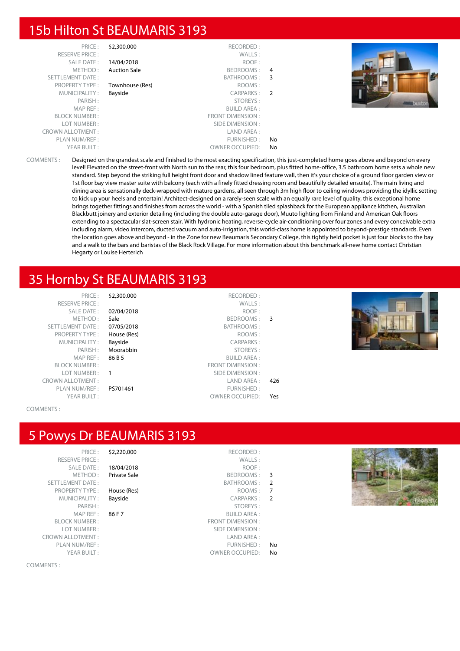# 15b Hilton St BEAUMARIS 3193

| \$2,300,000         | RECORDED:               |               |
|---------------------|-------------------------|---------------|
|                     | WALLS:                  |               |
| 14/04/2018          | ROOF:                   |               |
| <b>Auction Sale</b> | BEDROOMS:               | 4             |
|                     | BATHROOMS:              | 3             |
| Townhouse (Res)     | ROOMS:                  |               |
| Bayside             | <b>CARPARKS:</b>        | $\mathcal{P}$ |
|                     | STOREYS:                |               |
|                     | <b>BUILD AREA:</b>      |               |
|                     | <b>FRONT DIMENSION:</b> |               |
|                     | SIDE DIMENSION:         |               |
|                     | LAND AREA:              |               |
|                     | FURNISHED:              | No            |
|                     | <b>OWNER OCCUPIED:</b>  | No            |
|                     |                         |               |



COMMENTS : Designed on the grandest scale and finished to the most exacting specification, this just-completed home goes above and beyond on every level! Elevated on the street-front with North sun to the rear, this four bedroom, plus fitted home-office, 3.5 bathroom home sets a whole new standard. Step beyond the striking full height front door and shadow lined feature wall, then it's your choice of a ground floor garden view or 1st floor bay view master suite with balcony (each with a finely fitted dressing room and beautifully detailed ensuite). The main living and dining area is sensationally deck-wrapped with mature gardens, all seen through 3m high floor to ceiling windows providing the idyllic setting to kick up your heels and entertain! Architect-designed on a rarely-seen scale with an equally rare level of quality, this exceptional home brings together fittings and finishes from across the world - with a Spanish tiled splashback for the European appliance kitchen, Australian Blackbutt joinery and exterior detailing (including the double auto-garage door), Muuto lighting from Finland and American Oak floors extending to a spectacular slat-screen stair. With hydronic heating, reverse-cycle air-conditioning over four zones and every conceivable extra including alarm, video intercom, ducted vacuum and auto-irrigation, this world-class home is appointed to beyond-prestige standards. Even the location goes above and beyond - in the Zone for new Beaumaris Secondary College, this tightly held pocket is just four blocks to the bay and a walk to the bars and baristas of the Black Rock Village. For more information about this benchmark all-new home contact Christian Hegarty or Louise Herterich

## 35 Hornby St BEAUMARIS 3193

| $PRICF \cdot$         |
|-----------------------|
| <b>RESERVE PRICE:</b> |
| <b>SALE DATE:</b>     |
| MFTHOD:               |
| SETTLEMENT DATE:      |
| <b>PROPERTY TYPE:</b> |
| ΜΗΝΙΓΙΡΑΙ ΙΤΥ :       |
| PARISH:               |
| MAP RFF:              |
| <b>BI OCK NUMBER:</b> |
| LOT NUMBER :          |
| ROWN ALLOTMENT :      |
| PLAN NUM/REF :        |
| YEAR BUILT:           |

| \$2,300,000 | RECORDED:               |     |
|-------------|-------------------------|-----|
|             | WALLS:                  |     |
| 02/04/2018  | ROOF:                   |     |
| Sale        | <b>BEDROOMS:</b>        | 3   |
| 07/05/2018  | <b>BATHROOMS:</b>       |     |
| House (Res) | ROOMS:                  |     |
| Bayside     | <b>CARPARKS:</b>        |     |
| Moorabbin   | STOREYS:                |     |
| 86 B 5      | <b>BUILD AREA:</b>      |     |
|             | <b>FRONT DIMENSION:</b> |     |
| 1           | SIDE DIMENSION:         |     |
|             | LAND AREA:              | 426 |
| PS701461    | <b>FURNISHED:</b>       |     |
|             | <b>OWNER OCCUPIED:</b>  | Yes |
|             |                         |     |



#### COMMENTS :

#### 5 Powys Dr BEAUMARIS 3193

RESERVE PRICE : METHOD : Private Sale SETTLEMENT DATE: PROPERTY TYPE : House (Res) MUNICIPALITY : Bayside MAP REF : 86 F 7 BLOCK NUMBER : LOT NUMBER : CROWN ALLOTMENT:

COMMENTS :

|               | RECORDED:               | \$2,220,000<br>PRICE:           |                       |
|---------------|-------------------------|---------------------------------|-----------------------|
|               | WALLS:                  | <b>RESERVE PRICE:</b>           |                       |
|               | ROOF:                   | <b>SALE DATE:</b><br>18/04/2018 |                       |
| 3             | BEDROOMS:               | METHOD:<br>Private Sale         |                       |
| 2             | BATHROOMS:              |                                 | <b>TTLEMENT DATE:</b> |
| 7             | ROOMS:                  | House (Res)                     | <b>PROPERTY TYPE:</b> |
| $\mathcal{P}$ | <b>CARPARKS:</b>        | MUNICIPALITY:<br>Bayside        |                       |
|               | STOREYS:                | PARISH:                         |                       |
|               | <b>BUILD AREA:</b>      | 86 F 7<br>MAP REF:              |                       |
|               | <b>FRONT DIMENSION:</b> |                                 | <b>BLOCK NUMBER:</b>  |
|               | SIDE DIMENSION:         | LOT NUMBER:                     |                       |
|               | LAND AREA:              |                                 | WN ALLOTMENT:         |
| No            | FURNISHED:              |                                 | PLAN NUM/REF :        |
|               |                         |                                 |                       |

**ACCESSION** 

| 3              | BEDROOMS:               | METHOD:<br><b>Private Sale</b> |
|----------------|-------------------------|--------------------------------|
| $\overline{2}$ | <b>BATHROOMS:</b>       | <b>MENT DATE:</b>              |
| 7              | ROOMS:                  | PERTY TYPE:<br>House (Res)     |
| $\overline{2}$ | <b>CARPARKS:</b>        | Bayside<br><b>JNICIPALITY:</b> |
|                | STOREYS:                | PARISH:                        |
|                | <b>BUILD AREA:</b>      | MAP REF:<br>86 F 7             |
|                | <b>FRONT DIMENSION:</b> | CK NUMBER :                    |
|                | SIDE DIMENSION:         | OT NUMBER :                    |
|                | LAND AREA:              | <b>NLLOTMENT:</b>              |
| No             | FURNISHED:              | N NUM/REF:                     |
| No             | <b>OWNER OCCUPIED:</b>  | YEAR BUILT:                    |
|                |                         |                                |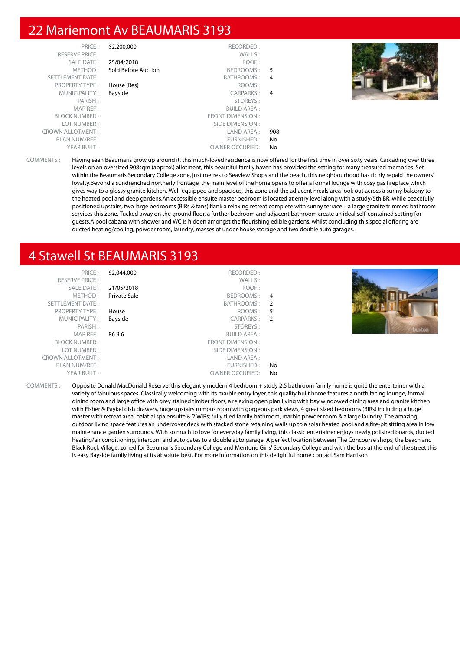#### 22 Mariemont Av BEAUMARIS 3193

| PRICE:                  | \$2,200,000         | RECORDED:              |     |  |
|-------------------------|---------------------|------------------------|-----|--|
| <b>RESERVE PRICE:</b>   |                     | WALLS:                 |     |  |
| SALE DATE:              | 25/04/2018          | ROOF:                  |     |  |
| METHOD:                 | Sold Before Auction | BEDROOMS:              | .5  |  |
| SETTLEMENT DATE:        |                     | BATHROOMS:             | 4   |  |
| <b>PROPERTY TYPE:</b>   | House (Res)         | ROOMS:                 |     |  |
| MUNICIPALITY:           | Bayside             | CARPARKS:              | 4   |  |
| PARISH:                 |                     | STOREYS:               |     |  |
| MAP REF:                |                     | <b>BUILD AREA:</b>     |     |  |
| <b>BLOCK NUMBER:</b>    |                     | FRONT DIMENSION:       |     |  |
| LOT NUMBER:             |                     | SIDE DIMENSION :       |     |  |
| <b>CROWN ALLOTMENT:</b> |                     | LAND AREA :            | 908 |  |
| PLAN NUM/REF :          |                     | FURNISHED:             | No  |  |
| YEAR BUILT:             |                     | <b>OWNER OCCUPIED:</b> | No. |  |
|                         |                     |                        |     |  |



COMMENTS : Having seen Beaumaris grow up around it, this much-loved residence is now offered for the first time in over sixty years. Cascading over three levels on an oversized 908sqm (approx.) allotment, this beautiful family haven has provided the setting for many treasured memories. Set within the Beaumaris Secondary College zone, just metres to Seaview Shops and the beach, this neighbourhood has richly repaid the owners' loyalty.Beyond a sundrenched northerly frontage, the main level of the home opens to offer a formal lounge with cosy gas fireplace which gives way to a glossy granite kitchen. Well-equipped and spacious, this zone and the adjacent meals area look out across a sunny balcony to the heated pool and deep gardens.An accessible ensuite master bedroom is located at entry level along with a study/5th BR, while peacefully positioned upstairs, two large bedrooms (BIRs & fans) flank a relaxing retreat complete with sunny terrace – a large granite trimmed bathroom services this zone. Tucked away on the ground floor, a further bedroom and adjacent bathroom create an ideal self-contained setting for guests.A pool cabana with shower and WC is hidden amongst the flourishing edible gardens, whilst concluding this special offering are ducted heating/cooling, powder room, laundry, masses of under-house storage and two double auto garages.

# 4 Stawell St BEAUMARIS 3193

| PRICE:<br><b>RESERVE PRICE:</b><br>SALE DATE:<br>METHOD:<br>SETTLEMENT DATE:<br><b>PROPERTY TYPE:</b><br>MUNICIPALITY:<br>PARISH:<br>MAP REF :<br><b>BLOCK NUMBER:</b><br>LOT NUMBER:<br><b>CROWN ALLOTMENT:</b> | \$2,044,000<br>21/05/2018<br>Private Sale<br>House<br>Bayside<br>86 B 6 | RECORDED:<br>WALLS:<br>ROOF:<br>BEDROOMS:<br>BATHROOMS: 2<br>ROOMS:<br>CARPARKS:<br>STOREYS:<br><b>BUILD AREA:</b><br>FRONT DIMENSION :<br>SIDE DIMENSION :<br>LAND AREA: | $\overline{4}$<br>5<br>-2 | buxton |
|------------------------------------------------------------------------------------------------------------------------------------------------------------------------------------------------------------------|-------------------------------------------------------------------------|---------------------------------------------------------------------------------------------------------------------------------------------------------------------------|---------------------------|--------|
| PLAN NUM/REF:                                                                                                                                                                                                    |                                                                         | FURNISHED:                                                                                                                                                                | No                        |        |
| YEAR BUILT:                                                                                                                                                                                                      |                                                                         | <b>OWNER OCCUPIED:</b>                                                                                                                                                    | No                        |        |

COMMENTS : Opposite Donald MacDonald Reserve, this elegantly modern 4 bedroom + study 2.5 bathroom family home is quite the entertainer with a variety of fabulous spaces. Classically welcoming with its marble entry foyer, this quality built home features a north facing lounge, formal dining room and large office with grey stained timber floors, a relaxing open plan living with bay windowed dining area and granite kitchen with Fisher & Paykel dish drawers, huge upstairs rumpus room with gorgeous park views, 4 great sized bedrooms (BIRs) including a huge master with retreat area, palatial spa ensuite & 2 WIRs; fully tiled family bathroom, marble powder room & a large laundry. The amazing outdoor living space features an undercover deck with stacked stone retaining walls up to a solar heated pool and a fire-pit sitting area in low maintenance garden surrounds. With so much to love for everyday family living, this classic entertainer enjoys newly polished boards, ducted heating/air conditioning, intercom and auto gates to a double auto garage. A perfect location between The Concourse shops, the beach and Black Rock Village, zoned for Beaumaris Secondary College and Mentone Girls' Secondary College and with the bus at the end of the street this is easy Bayside family living at its absolute best. For more information on this delightful home contact Sam Harrison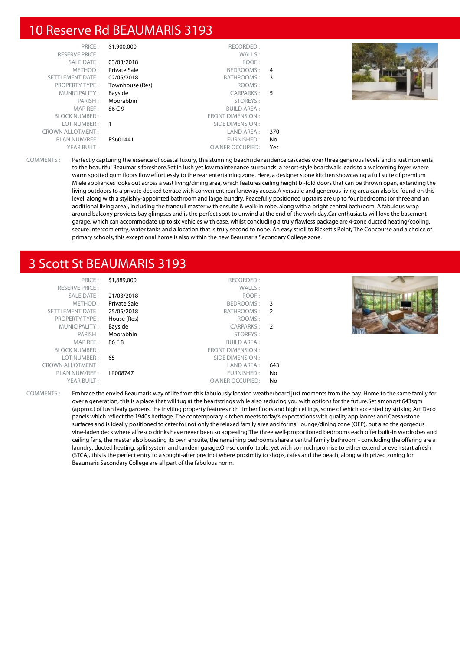#### 10 Reserve Rd BEAUMARIS 3193

| PRICE:                  | \$1,900,000     | RECORDED:               |                |  |
|-------------------------|-----------------|-------------------------|----------------|--|
|                         |                 |                         |                |  |
| <b>RESERVE PRICE:</b>   |                 | WALLS:                  |                |  |
| SALE DATE:              | 03/03/2018      | ROOF:                   |                |  |
| METHOD:                 | Private Sale    | BEDROOMS:               | $\overline{4}$ |  |
| SETTLEMENT DATE:        | 02/05/2018      | BATHROOMS:              | - 3            |  |
| <b>PROPERTY TYPE:</b>   | Townhouse (Res) | ROOMS:                  |                |  |
| MUNICIPALITY:           | Bayside         | CARPARKS:               | - 5            |  |
| PARISH:                 | Moorabbin       | STOREYS:                |                |  |
| MAP REF:                | 86 C 9          | <b>BUILD AREA:</b>      |                |  |
| <b>BLOCK NUMBER:</b>    |                 | <b>FRONT DIMENSION:</b> |                |  |
| LOT NUMBER:             |                 | SIDE DIMENSION :        |                |  |
| <b>CROWN ALLOTMENT:</b> |                 | LAND AREA:              | 370            |  |
| PLAN NUM/REF :          | PS601441        | FURNISHED:              | No             |  |
| YEAR BUILT:             |                 | <b>OWNER OCCUPIED:</b>  | Yes            |  |

COMMENTS : Perfectly capturing the essence of coastal luxury, this stunning beachside residence cascades over three generous levels and is just moments to the beautiful Beaumaris foreshore.Set in lush yet low maintenance surrounds, a resort-style boardwalk leads to a welcoming foyer where warm spotted gum floors flow effortlessly to the rear entertaining zone. Here, a designer stone kitchen showcasing a full suite of premium Miele appliances looks out across a vast living/dining area, which features ceiling height bi-fold doors that can be thrown open, extending the living outdoors to a private decked terrace with convenient rear laneway access.A versatile and generous living area can also be found on this level, along with a stylishly-appointed bathroom and large laundry. Peacefully positioned upstairs are up to four bedrooms (or three and an additional living area), including the tranquil master with ensuite & walk-in robe, along with a bright central bathroom. A fabulous wrap around balcony provides bay glimpses and is the perfect spot to unwind at the end of the work day.Car enthusiasts will love the basement garage, which can accommodate up to six vehicles with ease, whilst concluding a truly flawless package are 4-zone ducted heating/cooling, secure intercom entry, water tanks and a location that is truly second to none. An easy stroll to Rickett's Point, The Concourse and a choice of primary schools, this exceptional home is also within the new Beaumaris Secondary College zone.

#### 3 Scott St BEAUMARIS 3193

| PRICE:<br><b>RESERVE PRICE:</b> | \$1,889,000  | RECORDED:<br>WALLS:    |     |  |
|---------------------------------|--------------|------------------------|-----|--|
| SALE DATE:                      | 21/03/2018   | ROOF:                  |     |  |
| METHOD:                         | Private Sale | BEDROOMS: 3            |     |  |
| SETTLEMENT DATE:                | 25/05/2018   | BATHROOMS: 2           |     |  |
| <b>PROPERTY TYPE:</b>           | House (Res)  | ROOMS:                 |     |  |
| MUNICIPALITY:                   | Bayside      | CARPARKS: 2            |     |  |
| PARISH:                         | Moorabbin    | STOREYS:               |     |  |
| MAP REF :                       | 86 E 8       | <b>BUILD AREA:</b>     |     |  |
| <b>BLOCK NUMBER:</b>            |              | FRONT DIMENSION:       |     |  |
| LOT NUMBER:                     | 65           | SIDE DIMENSION :       |     |  |
| <b>CROWN ALLOTMENT:</b>         |              | LAND AREA :            | 643 |  |
| PLAN NUM/REF :                  | LP008747     | FURNISHED:             | No  |  |
| YEAR BUILT:                     |              | <b>OWNER OCCUPIED:</b> | No  |  |

COMMENTS : Embrace the envied Beaumaris way of life from this fabulously located weatherboard just moments from the bay. Home to the same family for over a generation, this is a place that will tug at the heartstrings while also seducing you with options for the future.Set amongst 643sqm (approx.) of lush leafy gardens, the inviting property features rich timber floors and high ceilings, some of which accented by striking Art Deco panels which reflect the 1940s heritage. The contemporary kitchen meets today's expectations with quality appliances and Caesarstone surfaces and is ideally positioned to cater for not only the relaxed family area and formal lounge/dining zone (OFP), but also the gorgeous vine-laden deck where alfresco drinks have never been so appealing.The three well-proportioned bedrooms each offer built-in wardrobes and ceiling fans, the master also boasting its own ensuite, the remaining bedrooms share a central family bathroom - concluding the offering are a laundry, ducted heating, split system and tandem garage.Oh-so comfortable, yet with so much promise to either extend or even start afresh (STCA), this is the perfect entry to a sought-after precinct where proximity to shops, cafes and the beach, along with prized zoning for Beaumaris Secondary College are all part of the fabulous norm.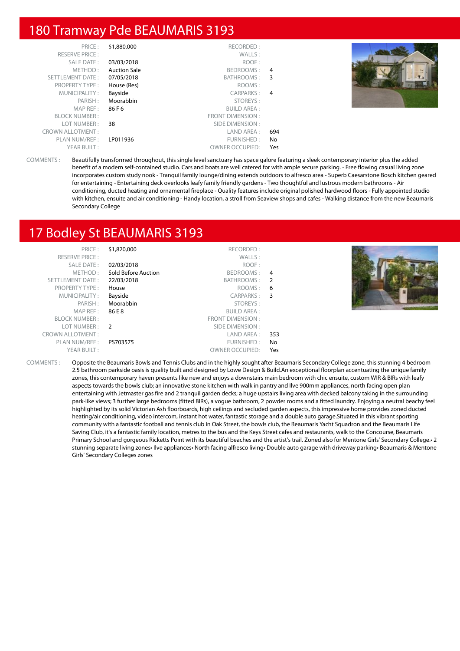#### 180 Tramway Pde BEAUMARIS 3193

| PRICE:<br><b>RESERVE PRICE:</b> | \$1,880,000         | RECORDED:<br>WALLS:    |     |  |
|---------------------------------|---------------------|------------------------|-----|--|
|                                 |                     |                        |     |  |
| SALE DATE:                      | 03/03/2018          | ROOF:                  |     |  |
| METHOD:                         | <b>Auction Sale</b> | BEDROOMS: 4            |     |  |
| SETTLEMENT DATE:                | 07/05/2018          | BATHROOMS: 3           |     |  |
| <b>PROPERTY TYPE:</b>           | House (Res)         | ROOMS:                 |     |  |
| MUNICIPALITY:                   | Bayside             | CARPARKS: 4            |     |  |
| PARISH:                         | Moorabbin           | STOREYS:               |     |  |
| MAP REF:                        | 86 F 6              | <b>BUILD AREA:</b>     |     |  |
| <b>BLOCK NUMBER:</b>            |                     | FRONT DIMENSION:       |     |  |
| LOT NUMBER:                     | 38                  | SIDE DIMENSION :       |     |  |
| <b>CROWN ALLOTMENT:</b>         |                     | LAND AREA :            | 694 |  |
| PLAN NUM/REF :                  | LP011936            | FURNISHED:             | No  |  |
| YEAR BUILT:                     |                     | <b>OWNER OCCUPIED:</b> | Yes |  |

COMMENTS : Beautifully transformed throughout, this single level sanctuary has space galore featuring a sleek contemporary interior plus the added benefit of a modern self-contained studio. Cars and boats are well catered for with ample secure parking. - Free flowing casual living zone incorporates custom study nook - Tranquil family lounge/dining extends outdoors to alfresco area - Superb Caesarstone Bosch kitchen geared for entertaining - Entertaining deck overlooks leafy family friendly gardens - Two thoughtful and lustrous modern bathrooms - Air conditioning, ducted heating and ornamental fireplace - Quality features include original polished hardwood floors - Fully appointed studio with kitchen, ensuite and air conditioning - Handy location, a stroll from Seaview shops and cafes - Walking distance from the new Beaumaris Secondary College

# 17 Bodley St BEAUMARIS 3193

| PRICE:                  | \$1,820,000         | RECORDED:              |     |  |
|-------------------------|---------------------|------------------------|-----|--|
| <b>RESERVE PRICE:</b>   |                     | WALLS:                 |     |  |
| SALE DATE:              | 02/03/2018          | ROOF:                  |     |  |
| METHOD:                 | Sold Before Auction | BEDROOMS: 4            |     |  |
| SETTLEMENT DATE:        | 22/03/2018          | BATHROOMS: 2           |     |  |
| <b>PROPERTY TYPE:</b>   | House               | ROOMS: 6               |     |  |
| MUNICIPALITY:           | Bayside             | CARPARKS: 3            |     |  |
| PARISH:                 | Moorabbin           | STOREYS:               |     |  |
| MAP REF :               | 86 E 8              | <b>BUILD AREA:</b>     |     |  |
| <b>BLOCK NUMBER:</b>    |                     | FRONT DIMENSION:       |     |  |
| LOT NUMBER :            | $\overline{2}$      | SIDE DIMENSION :       |     |  |
| <b>CROWN ALLOTMENT:</b> |                     | LAND AREA :            | 353 |  |
| PLAN NUM/REF :          | PS703575            | FURNISHED:             | No. |  |
| YEAR BUILT:             |                     | <b>OWNER OCCUPIED:</b> | Yes |  |
|                         |                     |                        |     |  |

COMMENTS : Opposite the Beaumaris Bowls and Tennis Clubs and in the highly sought after Beaumaris Secondary College zone, this stunning 4 bedroom 2.5 bathroom parkside oasis is quality built and designed by Lowe Design & Build.An exceptional floorplan accentuating the unique family zones, this contemporary haven presents like new and enjoys a downstairs main bedroom with chic ensuite, custom WIR & BIRs with leafy aspects towards the bowls club; an innovative stone kitchen with walk in pantry and Ilve 900mm appliances, north facing open plan entertaining with Jetmaster gas fire and 2 tranquil garden decks; a huge upstairs living area with decked balcony taking in the surrounding park-like views; 3 further large bedrooms (fitted BIRs), a vogue bathroom, 2 powder rooms and a fitted laundry. Enjoying a neutral beachy feel highlighted by its solid Victorian Ash floorboards, high ceilings and secluded garden aspects, this impressive home provides zoned ducted heating/air conditioning, video intercom, instant hot water, fantastic storage and a double auto garage.Situated in this vibrant sporting community with a fantastic football and tennis club in Oak Street, the bowls club, the Beaumaris Yacht Squadron and the Beaumaris Life Saving Club, it's a fantastic family location, metres to the bus and the Keys Street cafes and restaurants, walk to the Concourse, Beaumaris Primary School and gorgeous Ricketts Point with its beautiful beaches and the artist's trail. Zoned also for Mentone Girls' Secondary College. 2 stunning separate living zones• Ilve appliances• North facing alfresco living• Double auto garage with driveway parking• Beaumaris & Mentone Girls' Secondary Colleges zones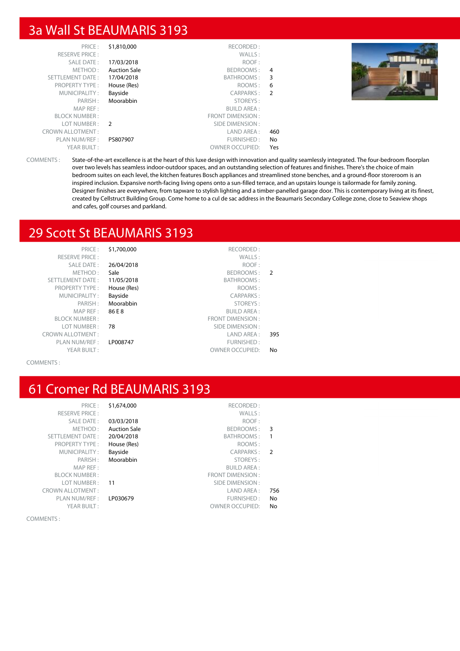#### 3a Wall St BEAUMARIS 3193

| PRICE:                  | \$1,810,000         | RECORDED:              |                |  |
|-------------------------|---------------------|------------------------|----------------|--|
| <b>RESERVE PRICE:</b>   |                     | WALLS:                 |                |  |
| <b>SALE DATE:</b>       | 17/03/2018          | ROOF:                  |                |  |
| METHOD:                 | <b>Auction Sale</b> | BEDROOMS:              | 4              |  |
| SETTLEMENT DATE:        | 17/04/2018          | BATHROOMS:             | 3              |  |
| <b>PROPERTY TYPE:</b>   | House (Res)         | ROOMS:                 | 6              |  |
| MUNICIPALITY:           | Bayside             | CARPARKS:              | $\overline{2}$ |  |
| PARISH:                 | Moorabbin           | STOREYS:               |                |  |
| MAP REF:                |                     | <b>BUILD AREA:</b>     |                |  |
| <b>BLOCK NUMBER:</b>    |                     | FRONT DIMENSION:       |                |  |
| LOT NUMBER:             | $\overline{2}$      | SIDE DIMENSION :       |                |  |
| <b>CROWN ALLOTMENT:</b> |                     | LAND AREA :            | 460            |  |
| PLAN NUM/REF :          | PS807907            | FURNISHED:             | No             |  |
| YEAR BUILT:             |                     | <b>OWNER OCCUPIED:</b> | Yes            |  |



COMMENTS : State-of-the-art excellence is at the heart of this luxe design with innovation and quality seamlessly integrated. The four-bedroom floorplan over two levels has seamless indoor-outdoor spaces, and an outstanding selection of features and finishes. There's the choice of main bedroom suites on each level, the kitchen features Bosch appliances and streamlined stone benches, and a ground-floor storeroom is an inspired inclusion. Expansive north-facing living opens onto a sun-filled terrace, and an upstairs lounge is tailormade for family zoning. Designer finishes are everywhere, from tapware to stylish lighting and a timber-panelled garage door. This is contemporary living at its finest, created by Cellstruct Building Group. Come home to a cul de sac address in the Beaumaris Secondary College zone, close to Seaview shops and cafes, golf courses and parkland.

# 29 Scott St BEAUMARIS 3193

| PRICE:                  | \$1,700,000 | RECORDED:               |               |
|-------------------------|-------------|-------------------------|---------------|
| <b>RESERVE PRICE:</b>   |             | WALLS:                  |               |
| SALE DATE:              | 26/04/2018  | ROOF:                   |               |
| METHOD:                 | Sale        | BEDROOMS:               | $\mathcal{P}$ |
| <b>SETTLEMENT DATE:</b> | 11/05/2018  | <b>BATHROOMS:</b>       |               |
| <b>PROPERTY TYPE:</b>   | House (Res) | ROOMS:                  |               |
| MUNICIPALITY:           | Bayside     | CARPARKS:               |               |
| PARISH:                 | Moorabbin   | STOREYS:                |               |
| MAP REF:                | 86 E 8      | <b>BUILD AREA:</b>      |               |
| <b>BLOCK NUMBER:</b>    |             | <b>FRONT DIMENSION:</b> |               |
| LOT NUMBER:             | 78          | SIDE DIMENSION:         |               |
| CROWN ALLOTMENT:        |             | LAND AREA:              | 395           |
| PLAN NUM/REF:           | LP008747    | FURNISHED:              |               |
| YEAR BUILT:             |             | <b>OWNER OCCUPIED:</b>  | No            |

COMMENTS :

# 61 Cromer Rd BEAUMARIS 3193

|               | \$1,674,000<br>RECORDED:         | PRICE:                  |
|---------------|----------------------------------|-------------------------|
|               | WALLS:                           | <b>RESERVE PRICE:</b>   |
|               | ROOF:<br>03/03/2018              | <b>SALE DATE:</b>       |
| 3             | <b>Auction Sale</b><br>BEDROOMS: | METHOD:                 |
| 1             | BATHROOMS:<br>20/04/2018         | <b>SETTLEMENT DATE:</b> |
|               | ROOMS:<br>House (Res)            | <b>PROPERTY TYPE:</b>   |
| $\mathcal{P}$ | Bayside<br><b>CARPARKS:</b>      | MUNICIPALITY:           |
|               | Moorabbin<br>STOREYS:            | PARISH:                 |
|               | <b>BUILD AREA:</b>               | MAP REF:                |
|               | <b>FRONT DIMENSION:</b>          | <b>BLOCK NUMBER:</b>    |
|               | SIDE DIMENSION:<br>11            | LOT NUMBER:             |
| 756           | LAND AREA:                       | <b>CROWN ALLOTMENT:</b> |
| No            | FURNISHED:<br>LP030679           | PLAN NUM/REF :          |
| No            | <b>OWNER OCCUPIED:</b>           | YEAR BUILT:             |

COMMENTS :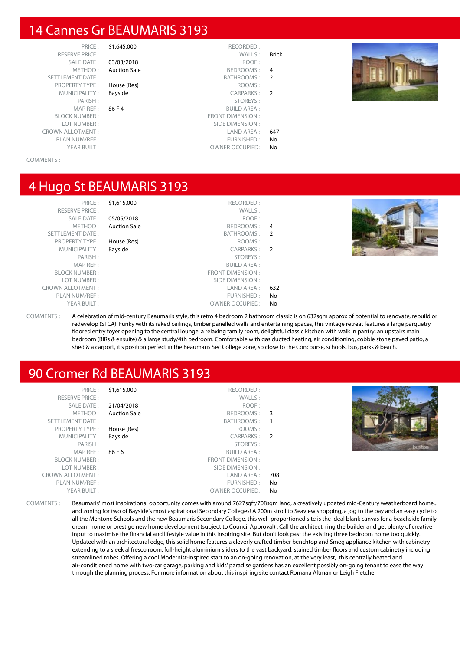#### 14 Cannes Gr BEAUMARIS 3193

PRICE: \$1,645,000 SETTLEMENT DATE: PROPERTY TYPE : House (Res) MUNICIPALITY : Bayside MAP REF :  $86 \text{ F } 4$ BLOCK NUMBER : LOT NUMBER : CROWN ALLOTMENT: PLAN NUM/REF :<br>YEAR BUILT :

|               | RECORDED:<br>\$1,645,000                | PRICE:                      |
|---------------|-----------------------------------------|-----------------------------|
| <b>Brick</b>  | WALLS:                                  | <b>RESERVE PRICE:</b>       |
|               | 03/03/2018<br>ROOF:                     | SALE DATE:                  |
| 4             | <b>BEDROOMS:</b><br><b>Auction Sale</b> | METHOD:                     |
| 2             | BATHROOMS:                              | TLEMENT DATE:               |
|               | ROOMS:<br>House (Res)                   | <b>PROPERTY TYPE:</b>       |
| $\mathcal{P}$ | Bayside<br>CARPARKS:                    | MUNICIPALITY:               |
|               | STOREYS:                                | PARISH:                     |
|               | 86 F 4<br><b>BUILD AREA:</b>            | MAP REF:                    |
|               | <b>FRONT DIMENSION:</b>                 | BLOCK NUMBER :              |
|               | SIDE DIMENSION:                         | LOT NUMBER :                |
| 647           | LAND AREA:                              | <b><i>IN ALLOTMENT:</i></b> |
| No            | FURNISHED:                              | PLAN NUM/REF :              |
| No            | <b>OWNER OCCUPIED:</b>                  | YEAR BUILT:                 |



#### COMMENTS :

#### 4 Hugo St BEAUMARIS 3193

| PRICE               |
|---------------------|
| RESERVE PRICE       |
| <b>SALE DATE</b>    |
| <b>METHOD</b>       |
| SETTI EMENT DATE    |
| PROPERTY TYPE       |
| ΜΗΝΙΟΊΡΑΙ ΙΤΥ       |
| PARISH              |
|                     |
| <b>MAP RFF</b>      |
| <b>BLOCK NUMBER</b> |
| I OT NUMBER         |
| OWN ALLOTMENT       |
| PI AN NUM/RFF       |
| YFAR BUIIT          |

|                | \$1,615,000<br>RECORDED:         | PRICE:                  |
|----------------|----------------------------------|-------------------------|
|                | WALLS:                           | <b>RESERVE PRICE:</b>   |
|                | 05/05/2018<br>ROOF:              | SALE DATE:              |
| 4              | <b>Auction Sale</b><br>BEDROOMS: | METHOD:                 |
| $\mathcal{P}$  | BATHROOMS:                       | <b>SETTLEMENT DATE:</b> |
|                | ROOMS:<br>House (Res)            | <b>PROPERTY TYPE:</b>   |
| $\overline{2}$ | Bayside<br><b>CARPARKS:</b>      | MUNICIPALITY:           |
|                | STOREYS:                         | PARISH:                 |
|                | <b>BUILD AREA:</b>               | MAP REF:                |
|                | <b>FRONT DIMENSION:</b>          | <b>BLOCK NUMBER:</b>    |
|                | SIDE DIMENSION:                  | LOT NUMBER:             |
| 632            | LAND AREA:                       | <b>CROWN ALLOTMENT:</b> |
| No             | FURNISHED:                       | PLAN NUM/REF :          |
| No             | <b>OWNER OCCUPIED:</b>           | YEAR BUILT:             |
|                |                                  |                         |



COMMENTS : A celebration of mid-century Beaumaris style, this retro 4 bedroom 2 bathroom classic is on 632sqm approx of potential to renovate, rebuild or redevelop (STCA). Funky with its raked ceilings, timber panelled walls and entertaining spaces, this vintage retreat features a large parquetry floored entry foyer opening to the central lounge, a relaxing family room, delightful classic kitchen with walk in pantry; an upstairs main bedroom (BIRs & ensuite) & a large study/4th bedroom. Comfortable with gas ducted heating, air conditioning, cobble stone paved patio, a shed & a carport, it's position perfect in the Beaumaris Sec College zone, so close to the Concourse, schools, bus, parks & beach.

#### 90 Cromer Rd BEAUMARIS 3193

| PRICE:<br><b>RESERVE PRICE:</b> | \$1,615,000         | RECORDED:<br>WALLS:    |     |               |
|---------------------------------|---------------------|------------------------|-----|---------------|
| SALE DATE:                      | 21/04/2018          | ROOF:                  |     |               |
| METHOD:                         | <b>Auction Sale</b> | BEDROOMS: 3            |     |               |
| SETTLEMENT DATE:                |                     | BATHROOMS:             |     |               |
| <b>PROPERTY TYPE:</b>           | House (Res)         | ROOMS:                 |     |               |
| MUNICIPALITY:                   | Bayside             | CARPARKS: 2            |     |               |
| PARISH:                         |                     | STOREYS:               |     | <b>WARNER</b> |
| MAP REF :                       | 86 F 6              | <b>BUILD AREA:</b>     |     |               |
| <b>BLOCK NUMBER:</b>            |                     | FRONT DIMENSION:       |     |               |
| LOT NUMBER:                     |                     | SIDE DIMENSION :       |     |               |
| <b>CROWN ALLOTMENT:</b>         |                     | LAND AREA :            | 708 |               |
| PLAN NUM/REF :                  |                     | FURNISHED:             | No. |               |
| YEAR BUILT:                     |                     | <b>OWNER OCCUPIED:</b> | No  |               |

COMMENTS : Beaumaris' most inspirational opportunity comes with around 7627sqft/708sqm land, a creatively updated mid-Century weatherboard home... and zoning for two of Bayside's most aspirational Secondary Colleges! A 200m stroll to Seaview shopping, a jog to the bay and an easy cycle to all the Mentone Schools and the new Beaumaris Secondary College, this well-proportioned site is the ideal blank canvas for a beachside family dream home or prestige new home development (subject to Council Approval) . Call the architect, ring the builder and get plenty of creative input to maximise the financial and lifestyle value in this inspiring site. But don't look past the existing three bedroom home too quickly. Updated with an architectural edge, this solid home features a cleverly crafted timber benchtop and Smeg appliance kitchen with cabinetry extending to a sleek al fresco room, full-height aluminium sliders to the vast backyard, stained timber floors and custom cabinetry including streamlined robes. Offering a cool Modernist-inspired start to an on-going renovation, at the very least, this centrally heated and air-conditioned home with two-car garage, parking and kids' paradise gardens has an excellent possibly on-going tenant to ease the way through the planning process. For more information about this inspiring site contact Romana Altman or Leigh Fletcher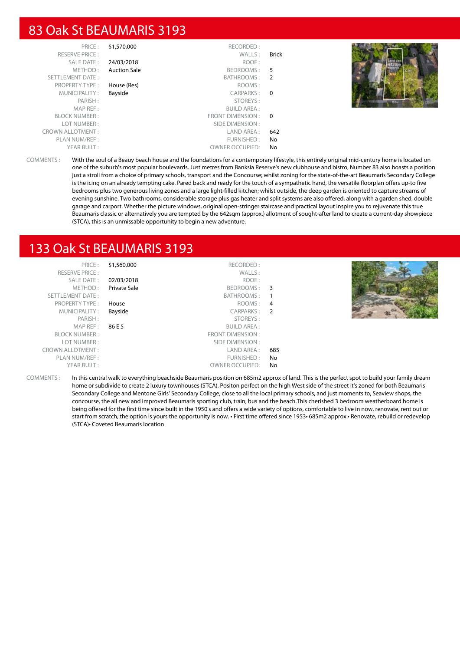#### 83 Oak St BEAUMARIS 3193

| PRICE:                  | \$1,570,000         | RECORDED:              |       |  |
|-------------------------|---------------------|------------------------|-------|--|
| <b>RESERVE PRICE:</b>   |                     | WALLS:                 | Brick |  |
| SALE DATE:              | 24/03/2018          | ROOF:                  |       |  |
| METHOD:                 | <b>Auction Sale</b> | BEDROOMS: 5            |       |  |
| SETTLEMENT DATE:        |                     | BATHROOMS: 2           |       |  |
| PROPERTY TYPE:          | House (Res)         | ROOMS:                 |       |  |
| MUNICIPALITY:           | Bayside             | CARPARKS: 0            |       |  |
| PARISH:                 |                     | STOREYS:               |       |  |
| MAP REF:                |                     | <b>BUILD AREA:</b>     |       |  |
| <b>BLOCK NUMBER:</b>    |                     | FRONT DIMENSION: 0     |       |  |
| LOT NUMBER:             |                     | SIDE DIMENSION :       |       |  |
| <b>CROWN ALLOTMENT:</b> |                     | LAND AREA :            | 642   |  |
| PLAN NUM/REF :          |                     | FURNISHED:             | No    |  |
| YEAR BUILT:             |                     | <b>OWNER OCCUPIED:</b> | No    |  |

COMMENTS : With the soul of a Beauy beach house and the foundations for a contemporary lifestyle, this entirely original mid-century home is located on one of the suburb's most popular boulevards. Just metres from Banksia Reserve's new clubhouse and bistro, Number 83 also boasts a position just a stroll from a choice of primary schools, transport and the Concourse; whilst zoning for the state-of-the-art Beaumaris Secondary College is the icing on an already tempting cake. Pared back and ready for the touch of a sympathetic hand, the versatile floorplan offers up-to five bedrooms plus two generous living zones and a large light-filled kitchen; whilst outside, the deep garden is oriented to capture streams of evening sunshine. Two bathrooms, considerable storage plus gas heater and split systems are also offered, along with a garden shed, double garage and carport. Whether the picture windows, original open-stringer staircase and practical layout inspire you to rejuvenate this true Beaumaris classic or alternatively you are tempted by the 642sqm (approx.) allotment of sought-after land to create a current-day showpiece (STCA), this is an unmissable opportunity to begin a new adventure.

#### 133 Oak St BEAUMARIS 3193

| PRICE:                  | \$1,560,000         | RECORDED:              |     |  |
|-------------------------|---------------------|------------------------|-----|--|
| <b>RESERVE PRICE:</b>   |                     | WALLS:                 |     |  |
| SALE DATE:              | 02/03/2018          | ROOF:                  |     |  |
| METHOD:                 | <b>Private Sale</b> | BEDROOMS: 3            |     |  |
| SETTLEMENT DATE:        |                     | BATHROOMS:             |     |  |
| <b>PROPERTY TYPE:</b>   | House               | ROOMS: 4               |     |  |
| MUNICIPALITY:           | Bayside             | CARPARKS: 2            |     |  |
| PARISH:                 |                     | STOREYS:               |     |  |
| MAP REF :               | 86 E 5              | <b>BUILD AREA:</b>     |     |  |
| <b>BLOCK NUMBER:</b>    |                     | FRONT DIMENSION:       |     |  |
| LOT NUMBER:             |                     | SIDE DIMENSION :       |     |  |
| <b>CROWN ALLOTMENT:</b> |                     | LAND AREA :            | 685 |  |
| PLAN NUM/REF :          |                     | FURNISHED:             | No  |  |
| YEAR BUILT:             |                     | <b>OWNER OCCUPIED:</b> | No  |  |
|                         |                     |                        |     |  |

COMMENTS : In this central walk to everything beachside Beaumaris position on 685m2 approx of land. This is the perfect spot to build your family dream home or subdivide to create 2 luxury townhouses (STCA). Positon perfect on the high West side of the street it's zoned for both Beaumaris Secondary College and Mentone Girls' Secondary College, close to all the local primary schools, and just moments to, Seaview shops, the concourse, the all new and improved Beaumaris sporting club, train, bus and the beach.This cherished 3 bedroom weatherboard home is being offered for the first time since built in the 1950's and offers a wide variety of options, comfortable to live in now, renovate, rent out or start from scratch, the option is yours the opportunity is now. • First time offered since 1953• 685m2 approx.• Renovate, rebuild or redevelop (STCA)• Coveted Beaumaris location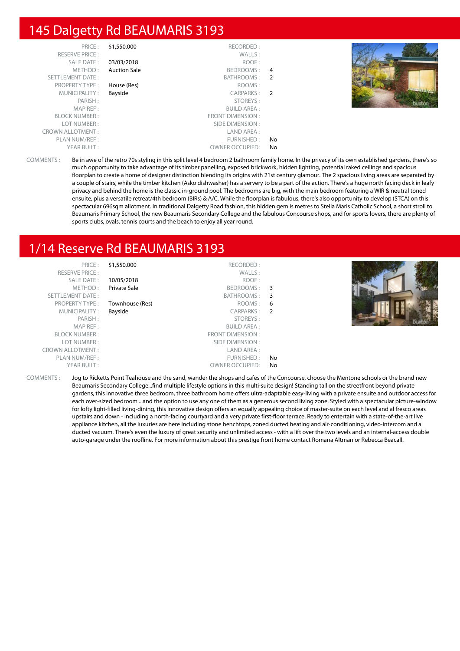# 145 Dalgetty Rd BEAUMARIS 3193

| PRICE:                  | \$1,550,000         | RECORDED:              |                |  |
|-------------------------|---------------------|------------------------|----------------|--|
| <b>RESERVE PRICE:</b>   |                     | WALLS:                 |                |  |
| SALE DATE:              | 03/03/2018          | ROOF:                  |                |  |
| METHOD:                 | <b>Auction Sale</b> | BEDROOMS:              | 4              |  |
| SETTLEMENT DATE:        |                     | BATHROOMS:             | -2             |  |
| <b>PROPERTY TYPE:</b>   | House (Res)         | ROOMS:                 |                |  |
| MUNICIPALITY:           | Bayside             | CARPARKS:              | $\overline{2}$ |  |
| PARISH:                 |                     | STOREYS:               |                |  |
| MAP REF:                |                     | <b>BUILD AREA:</b>     |                |  |
| <b>BLOCK NUMBER:</b>    |                     | FRONT DIMENSION:       |                |  |
| LOT NUMBER:             |                     | SIDE DIMENSION:        |                |  |
| <b>CROWN ALLOTMENT:</b> |                     | LAND AREA:             |                |  |
| PLAN NUM/REF:           |                     | FURNISHED:             | No             |  |
| YEAR BUILT:             |                     | <b>OWNER OCCUPIED:</b> | No             |  |



COMMENTS : Be in awe of the retro 70s styling in this split level 4 bedroom 2 bathroom family home. In the privacy of its own established gardens, there's so much opportunity to take advantage of its timber panelling, exposed brickwork, hidden lighting, potential raked ceilings and spacious floorplan to create a home of designer distinction blending its origins with 21st century glamour. The 2 spacious living areas are separated by a couple of stairs, while the timber kitchen (Asko dishwasher) has a servery to be a part of the action. There's a huge north facing deck in leafy privacy and behind the home is the classic in-ground pool. The bedrooms are big, with the main bedroom featuring a WIR & neutral toned ensuite, plus a versatile retreat/4th bedroom (BIRs) & A/C. While the floorplan is fabulous, there's also opportunity to develop (STCA) on this spectacular 696sqm allotment. In traditional Dalgetty Road fashion, this hidden gem is metres to Stella Maris Catholic School, a short stroll to Beaumaris Primary School, the new Beaumaris Secondary College and the fabulous Concourse shops, and for sports lovers, there are plenty of sports clubs, ovals, tennis courts and the beach to enjoy all year round.

# 1/14 Reserve Rd BEAUMARIS 3193

PRICE : \$1,550,000 RECORDED : RESERVE PRICE : WALLS : SALE DATE : **10/05/2018** ROOF : METHOD : Private Sale BEDROOMS : 3 SETTLEMENT DATE : SETTLEMENT DATE : SATHROOMS : 3 PROPERTY TYPE : **Townhouse (Res)** ROOMS : 6 MUNICIPALITY : **Bayside CARPARKS** : **2** PARISH : STOREYS : MAP REF : BUILD AREA : FRONT DIMENSION : LOT NUMBER : SIDE DIMENSION :<br>
VALLOTMENT : SIDE DIMENSION : SIDE DIMENSION : CROWN ALLOTMENT: PLAN NUM/REF : THE STATE OF THE STATE OF THE STATE OF THE STATE OF THE STATE OF THE STATE OF THE STATE OF THE STATE OF THE STATE OF THE STATE OF THE STATE OF THE STATE OF THE STATE OF THE STATE OF THE STATE OF THE STATE OF YEAR BUILT : OWNER OCCUPIED: No



COMMENTS : Jog to Ricketts Point Teahouse and the sand, wander the shops and cafes of the Concourse, choose the Mentone schools or the brand new Beaumaris Secondary College...find multiple lifestyle options in this multi-suite design! Standing tall on the streetfront beyond private gardens, this innovative three bedroom, three bathroom home offers ultra-adaptable easy-living with a private ensuite and outdoor access for each over-sized bedroom ...and the option to use any one of them as a generous second living zone. Styled with a spectacular picture-window for lofty light-filled living-dining, this innovative design offers an equally appealing choice of master-suite on each level and al fresco areas upstairs and down - including a north-facing courtyard and a very private first-floor terrace. Ready to entertain with a state-of-the-art Ilve appliance kitchen, all the luxuries are here including stone benchtops, zoned ducted heating and air-conditioning, video-intercom and a ducted vacuum. There's even the luxury of great security and unlimited access - with a lift over the two levels and an internal-access double auto-garage under the roofline. For more information about this prestige front home contact Romana Altman or Rebecca Beacall.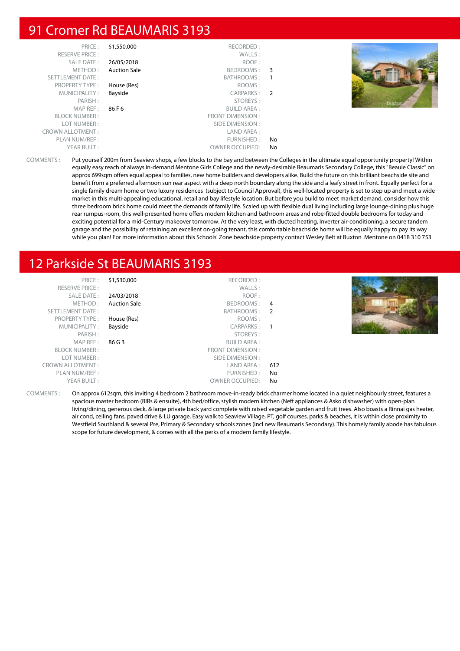## 91 Cromer Rd BEAUMARIS 3193

| PRICE:                  | \$1,550,000         | RECORDED:              |     |  |
|-------------------------|---------------------|------------------------|-----|--|
| <b>RESERVE PRICE:</b>   |                     | WALLS:                 |     |  |
| SALE DATE:              | 26/05/2018          | ROOF:                  |     |  |
| METHOD:                 | <b>Auction Sale</b> | BEDROOMS:              | - 3 |  |
| SETTLEMENT DATE:        |                     | <b>BATHROOMS:</b>      |     |  |
| <b>PROPERTY TYPE:</b>   | House (Res)         | ROOMS:                 |     |  |
| MUNICIPALITY:           | Bayside             | CARPARKS:              | 2   |  |
| PARISH:                 |                     | STOREYS:               |     |  |
| MAP REF:                | 86 F 6              | <b>BUILD AREA:</b>     |     |  |
| <b>BLOCK NUMBER:</b>    |                     | FRONT DIMENSION:       |     |  |
| LOT NUMBER:             |                     | SIDE DIMENSION:        |     |  |
| <b>CROWN ALLOTMENT:</b> |                     | LAND AREA:             |     |  |
| PLAN NUM/REF :          |                     | FURNISHED:             | No  |  |
| YEAR BUILT:             |                     | <b>OWNER OCCUPIED:</b> | No. |  |



COMMENTS : Put yourself 200m from Seaview shops, a few blocks to the bay and between the Colleges in the ultimate equal opportunity property! Within equally easy reach of always in-demand Mentone Girls College and the newly-desirable Beaumaris Secondary College, this "Beauie Classic" on approx 699sqm offers equal appeal to families, new home builders and developers alike. Build the future on this brilliant beachside site and benefit from a preferred afternoon sun rear aspect with a deep north boundary along the side and a leafy street in front. Equally perfect for a single family dream home or two luxury residences (subject to Council Approval), this well-located property is set to step up and meet a wide market in this multi-appealing educational, retail and bay lifestyle location. But before you build to meet market demand, consider how this three bedroom brick home could meet the demands of family life. Scaled up with flexible dual living including large lounge-dining plus huge rear rumpus-room, this well-presented home offers modern kitchen and bathroom areas and robe-fitted double bedrooms for today and exciting potential for a mid-Century makeover tomorrow. At the very least, with ducted heating, Inverter air-conditioning, a secure tandem garage and the possibility of retaining an excellent on-going tenant, this comfortable beachside home will be equally happy to pay its way while you plan! For more information about this Schools' Zone beachside property contact Wesley Belt at Buxton Mentone on 0418 310 753

# 12 Parkside St BEAUMARIS 3193

|     | RECORDED:              | \$1,530,000         | PRICE:                  |
|-----|------------------------|---------------------|-------------------------|
|     | WALLS:                 |                     | <b>RESERVE PRICE:</b>   |
|     | ROOF:                  | 24/03/2018          | SALE DATE:              |
| 4   | BEDROOMS:              | <b>Auction Sale</b> | METHOD:                 |
|     | BATHROOMS: 2           |                     | SETTLEMENT DATE:        |
|     | ROOMS:                 | House (Res)         | <b>PROPERTY TYPE:</b>   |
|     | CARPARKS:              | Bayside             | MUNICIPALITY:           |
|     | STOREYS:               |                     | PARISH:                 |
|     | <b>BUILD AREA:</b>     | 86 G 3              | MAP REF :               |
|     | FRONT DIMENSION:       |                     | <b>BLOCK NUMBER:</b>    |
|     | SIDE DIMENSION :       |                     | LOT NUMBER:             |
| 612 | LAND AREA :            |                     | <b>CROWN ALLOTMENT:</b> |
| No. | FURNISHED:             |                     | PLAN NUM/REF :          |
| No  | <b>OWNER OCCUPIED:</b> |                     | YEAR BUILT:             |

COMMENTS : On approx 612sqm, this inviting 4 bedroom 2 bathroom move-in-ready brick charmer home located in a quiet neighbourly street, features a spacious master bedroom (BIRs & ensuite), 4th bed/office, stylish modern kitchen (Neff appliances & Asko dishwasher) with open-plan living/dining, generous deck, & large private back yard complete with raised vegetable garden and fruit trees. Also boasts a Rinnai gas heater, air cond, ceiling fans, paved drive & LU garage. Easy walk to Seaview Village, PT, golf courses, parks & beaches, it is within close proximity to Westfield Southland & several Pre, Primary & Secondary schools zones (incl new Beaumaris Secondary). This homely family abode has fabulous scope for future development, & comes with all the perks of a modern family lifestyle.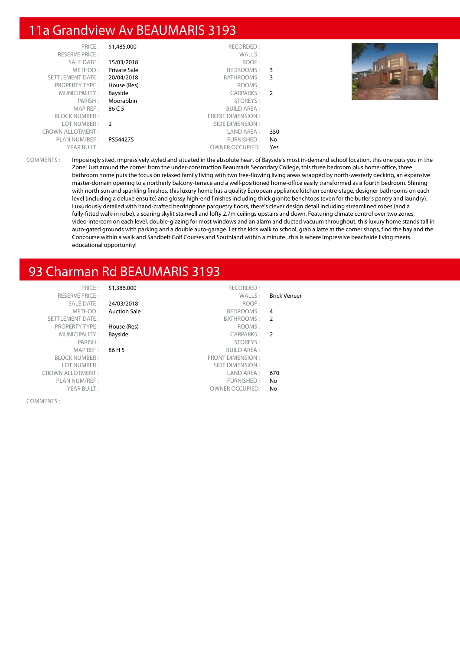# 11a Grandview Av BEAUMARIS 3193

| PRICE:                  | \$1,485,000   | RECORDED:               |               |
|-------------------------|---------------|-------------------------|---------------|
| <b>RESERVE PRICE:</b>   |               | WALLS:                  |               |
| <b>SALE DATE:</b>       | 15/03/2018    | ROOF:                   |               |
| METHOD:                 | Private Sale  | BEDROOMS:               | 3             |
| SETTLEMENT DATE:        | 20/04/2018    | <b>BATHROOMS:</b>       | 3             |
| <b>PROPERTY TYPE:</b>   | House (Res)   | ROOMS:                  |               |
| MUNICIPALITY:           | Bayside       | CARPARKS:               | $\mathcal{P}$ |
| PARISH:                 | Moorabbin     | STOREYS:                |               |
| MAP REF:                | 86 C 5        | <b>BUILD AREA:</b>      |               |
| <b>BLOCK NUMBER:</b>    |               | <b>FRONT DIMENSION:</b> |               |
| LOT NUMBER:             | $\mathcal{P}$ | SIDE DIMENSION:         |               |
| <b>CROWN ALLOTMENT:</b> |               | LAND AREA:              | 350           |
| PLAN NUM/REF:           | PS544275      | FURNISHED:              | No            |
| YEAR BUILT:             |               | <b>OWNER OCCUPIED:</b>  | Yes           |



COMMENTS : Imposingly sited, impressively styled and situated in the absolute heart of Bayside's most in-demand school location, this one puts you in the Zone! Just around the corner from the under-construction Beaumaris Secondary College, this three bedroom plus home-office, three bathroom home puts the focus on relaxed family living with two free-flowing living areas wrapped by north-westerly decking, an expansive master-domain opening to a northerly balcony-terrace and a well-positioned home-office easily transformed as a fourth bedroom. Shining with north sun and sparkling finishes, this luxury home has a quality European appliance kitchen centre-stage, designer bathrooms on each level (including a deluxe ensuite) and glossy high-end finishes including thick granite benchtops (even for the butler's pantry and laundry). Luxuriously detailed with hand-crafted herringbone parquetry floors, there's clever design detail including streamlined robes (and a fully-fitted walk-in robe), a soaring skylit stairwell and lofty 2.7m ceilings upstairs and down. Featuring climate control over two zones, video-intercom on each level, double-glazing for most windows and an alarm and ducted vacuum throughout, this luxury home stands tall in auto-gated grounds with parking and a double auto-garage. Let the kids walk to school, grab a latte at the corner shops, find the bay and the Concourse within a walk and Sandbelt Golf Courses and Southland within a minute...this is where impressive beachside living meets educational opportunity!

# 93 Charman Rd BEAUMARIS 3193

COMMENTS :

PRICE : \$1,386,000 RECORDED : RESERVE PRICE : WALLS : Brick Veneer SALE DATE : 24/03/2018 ROOF : METHOD : **Auction Sale** BEDROOMS : 4<br>
ENT DATE : 4<br>
BATHROOMS : 2 SETTLEMENT DATE : BATHROOMS : 2 PROPERTY TYPE : **House (Res)** ROOMS : ROOMS : ROOMS : ROOMS : ROOMS : ROOMS : ROOMS : ROOMS : ROOMS : ROOMS : ROOMS : ROOMS : ROOMS : ROOMS : ROOMS : ROOMS : ROOMS : ROOMS : ROOMS : ROOMS : ROOMS : ROOMS : ROOMS : ROOMS : MUNICIPALITY : **Bayside CARPARKS** : **2** PARISH : STOREYS : STOREYS : STOREYS : STOREYS : STOREYS : STOREYS : STOREYS : SUILD AREA : STOREYS : SUILD AREA : STOREYS : STOREYS : STOREYS : STOREYS : STOREYS : STOREYS : STOREYS : STOREYS : STOREYS : STOREYS : STOREYS 86 H 5 BUILD AREA : BLOCK NUMBER : FRONT DIMENSION :<br>
LOT NUMBER : SIDE DIMENSION : SIDE DIMENSION : CROWN ALLOTMENT : LAND AREA : 670 PLAN NUM/REF : The state of the state of the state of the state of the state of the state of the state of the state of the state of the state of the state of the state of the state of the state of the state of the state of YEAR BUILT : OWNER OCCUPIED: No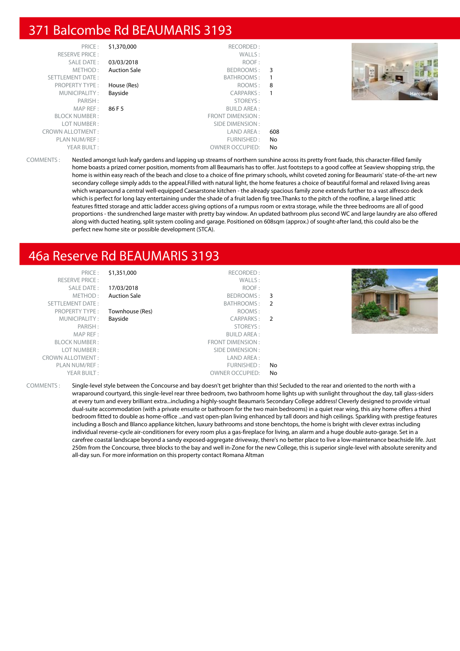# 371 Balcombe Rd BEAUMARIS 3193

| PRICE:                  | \$1,370,000         | RECORDED:               |     |  |
|-------------------------|---------------------|-------------------------|-----|--|
| <b>RESERVE PRICE:</b>   |                     | WALLS:                  |     |  |
| SALE DATE:              | 03/03/2018          | ROOF:                   |     |  |
| METHOD:                 | <b>Auction Sale</b> | BEDROOMS:               | 3   |  |
| <b>SETTLEMENT DATE:</b> |                     | BATHROOMS:              | -1  |  |
| <b>PROPERTY TYPE:</b>   | House (Res)         | ROOMS:                  | 8   |  |
| MUNICIPALITY:           | Bayside             | CARPARKS:               |     |  |
| PARISH:                 |                     | STOREYS:                |     |  |
| MAP REF:                | 86 F 5              | <b>BUILD AREA:</b>      |     |  |
| <b>BLOCK NUMBER:</b>    |                     | <b>FRONT DIMENSION:</b> |     |  |
| LOT NUMBER:             |                     | SIDE DIMENSION :        |     |  |
| <b>CROWN ALLOTMENT:</b> |                     | LAND AREA:              | 608 |  |
| PLAN NUM/REF:           |                     | FURNISHED:              | No  |  |
| YEAR BUILT:             |                     | <b>OWNER OCCUPIED:</b>  | No  |  |



COMMENTS : Nestled amongst lush leafy gardens and lapping up streams of northern sunshine across its pretty front faade, this character-filled family home boasts a prized corner position, moments from all Beaumaris has to offer. Just footsteps to a good coffee at Seaview shopping strip, the home is within easy reach of the beach and close to a choice of fine primary schools, whilst coveted zoning for Beaumaris' state-of-the-art new secondary college simply adds to the appeal.Filled with natural light, the home features a choice of beautiful formal and relaxed living areas which wraparound a central well-equipped Caesarstone kitchen - the already spacious family zone extends further to a vast alfresco deck which is perfect for long lazy entertaining under the shade of a fruit laden fig tree.Thanks to the pitch of the roofline, a large lined attic features fitted storage and attic ladder access giving options of a rumpus room or extra storage, while the three bedrooms are all of good proportions - the sundrenched large master with pretty bay window. An updated bathroom plus second WC and large laundry are also offered along with ducted heating, split system cooling and garage. Positioned on 608sqm (approx.) of sought-after land, this could also be the perfect new home site or possible development (STCA).

# 46a Reserve Rd BEAUMARIS 3193

PRICE : \$1,351,000 RECORDED : RESERVE PRICE : WALLS : SALE DATE : **17/03/2018** ROOF : METHOD: Auction Sale BEDROOMS: 3 SETTLEMENT DATE : BATHROOMS : 2 Townhouse (Res) ROOMS : MUNICIPALITY : **Bayside CARPARKS : 2** PARISH : STOREYS : **BUILD AREA:** BLOCK NUMBER : FRONT DIMENSION : SIDE DIMENSION : CROWN ALLOTMENT : LAND AREA : PLAN NUM/RFF : The set of the set of the set of the set of the set of the set of the set of the set of the set of the set of the set of the set of the set of the set of the set of the set of the set of the set of the set o YEAR BUILT : OWNER OCCUPIED: No



COMMENTS : Single-level style between the Concourse and bay doesn't get brighter than this! Secluded to the rear and oriented to the north with a wraparound courtyard, this single-level rear three bedroom, two bathroom home lights up with sunlight throughout the day, tall glass-siders at every turn and every brilliant extra...including a highly-sought Beaumaris Secondary College address! Cleverly designed to provide virtual dual-suite accommodation (with a private ensuite or bathroom for the two main bedrooms) in a quiet rear wing, this airy home offers a third bedroom fitted to double as home-office ...and vast open-plan living enhanced by tall doors and high ceilings. Sparkling with prestige features including a Bosch and Blanco appliance kitchen, luxury bathrooms and stone benchtops, the home is bright with clever extras including individual reverse-cycle air-conditioners for every room plus a gas-fireplace for living, an alarm and a huge double auto-garage. Set in a carefree coastal landscape beyond a sandy exposed-aggregate driveway, there's no better place to live a low-maintenance beachside life. Just 250m from the Concourse, three blocks to the bay and well in-Zone for the new College, this is superior single-level with absolute serenity and all-day sun. For more information on this property contact Romana Altman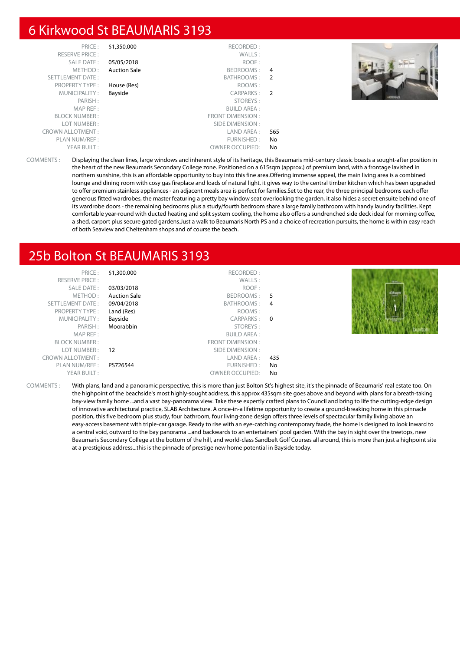#### 6 Kirkwood St BEAUMARIS 3193

| PRICE:                  | \$1,350,000         | RECORDED:              |                |  |
|-------------------------|---------------------|------------------------|----------------|--|
| <b>RESERVE PRICE:</b>   |                     | WALLS:                 |                |  |
| SALE DATE:              | 05/05/2018          | ROOF:                  |                |  |
| METHOD:                 | <b>Auction Sale</b> | BEDROOMS:              | $\overline{4}$ |  |
| <b>SETTLEMENT DATE:</b> |                     | BATHROOMS:             | -2             |  |
| <b>PROPERTY TYPE:</b>   | House (Res)         | ROOMS:                 |                |  |
| MUNICIPALITY:           | Bayside             | CARPARKS:              | $\overline{2}$ |  |
| PARISH:                 |                     | STOREYS:               |                |  |
| MAP REF:                |                     | <b>BUILD AREA:</b>     |                |  |
| <b>BLOCK NUMBER:</b>    |                     | FRONT DIMENSION:       |                |  |
| LOT NUMBER:             |                     | SIDE DIMENSION :       |                |  |
| <b>CROWN ALLOTMENT:</b> |                     | LAND AREA :            | 565            |  |
| PLAN NUM/REF :          |                     | FURNISHED:             | No             |  |
| YEAR BUILT:             |                     | <b>OWNER OCCUPIED:</b> | No             |  |



COMMENTS : Displaying the clean lines, large windows and inherent style of its heritage, this Beaumaris mid-century classic boasts a sought-after position in the heart of the new Beaumaris Secondary College zone. Positioned on a 615sqm (approx.) of premium land, with a frontage lavished in northern sunshine, this is an affordable opportunity to buy into this fine area.Offering immense appeal, the main living area is a combined lounge and dining room with cosy gas fireplace and loads of natural light, it gives way to the central timber kitchen which has been upgraded to offer premium stainless appliances - an adjacent meals area is perfect for families.Set to the rear, the three principal bedrooms each offer generous fitted wardrobes, the master featuring a pretty bay window seat overlooking the garden, it also hides a secret ensuite behind one of its wardrobe doors - the remaining bedrooms plus a study/fourth bedroom share a large family bathroom with handy laundry facilities. Kept comfortable year-round with ducted heating and split system cooling, the home also offers a sundrenched side deck ideal for morning coffee, a shed, carport plus secure gated gardens.Just a walk to Beaumaris North PS and a choice of recreation pursuits, the home is within easy reach of both Seaview and Cheltenham shops and of course the beach.

# 25b Bolton St BEAUMARIS 3193

| PRICE:                  | \$1,300,000         | RECORDED:          |     |               |
|-------------------------|---------------------|--------------------|-----|---------------|
| <b>RESERVE PRICE:</b>   |                     | WALLS:             |     | <b>Hitler</b> |
| <b>SALE DATE:</b>       | 03/03/2018          | ROOF:              |     |               |
| METHOD:                 | <b>Auction Sale</b> | BEDROOMS: 5        |     | 435sqm        |
| SETTLEMENT DATE:        | 09/04/2018          | BATHROOMS: 4       |     |               |
| <b>PROPERTY TYPE:</b>   | Land (Res)          | ROOMS:             |     |               |
| MUNICIPALITY:           | Bayside             | CARPARKS: 0        |     |               |
| PARISH:                 | Moorabbin           | STOREYS:           |     |               |
| MAP REF :               |                     | <b>BUILD AREA:</b> |     |               |
| <b>BLOCK NUMBER:</b>    |                     | FRONT DIMENSION:   |     |               |
| LOT NUMBER :            | 12                  | SIDE DIMENSION :   |     |               |
| <b>CROWN ALLOTMENT:</b> |                     | LAND AREA :        | 435 |               |
| PLAN NUM/REF :          | PS726544            | FURNISHED:         | No. |               |
| YFAR BUILT:             |                     | OWNER OCCUPIED:    | Nο  |               |

COMMENTS : With plans, land and a panoramic perspective, this is more than just Bolton St's highest site, it's the pinnacle of Beaumaris' real estate too. On the highpoint of the beachside's most highly-sought address, this approx 435sqm site goes above and beyond with plans for a breath-taking bay-view family home ...and a vast bay-panorama view. Take these expertly crafted plans to Council and bring to life the cutting-edge design of innovative architectural practice, SLAB Architecture. A once-in-a lifetime opportunity to create a ground-breaking home in this pinnacle position, this five bedroom plus study, four bathroom, four living-zone design offers three levels of spectacular family living above an easy-access basement with triple-car garage. Ready to rise with an eye-catching contemporary faade, the home is designed to look inward to a central void, outward to the bay panorama ...and backwards to an entertainers' pool garden. With the bay in sight over the treetops, new Beaumaris Secondary College at the bottom of the hill, and world-class Sandbelt Golf Courses all around, this is more than just a highpoint site at a prestigious address...this is the pinnacle of prestige new home potential in Bayside today.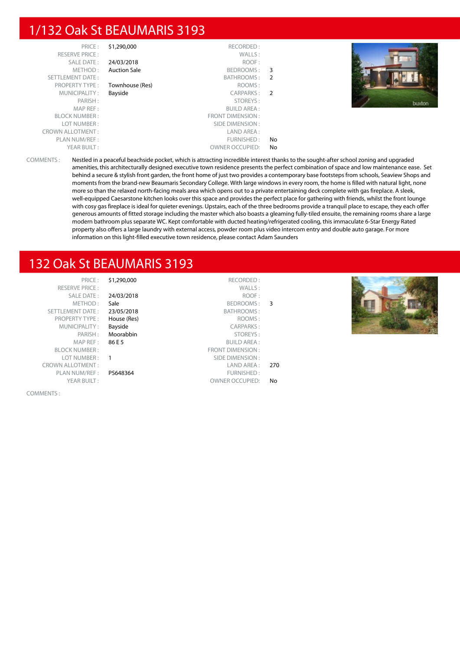## 1/132 Oak St BEAUMARIS 3193

|    | \$1,290,000<br>RECORDED:         | PRICE:                  |
|----|----------------------------------|-------------------------|
|    | WALLS:                           | <b>RESERVE PRICE:</b>   |
|    | 24/03/2018<br>ROOF:              | <b>SALE DATE:</b>       |
| 3  | <b>Auction Sale</b><br>BEDROOMS: | METHOD:                 |
| 2  | BATHROOMS:                       | <b>SETTLEMENT DATE:</b> |
|    | ROOMS:<br>Townhouse (Res)        | <b>PROPERTY TYPE:</b>   |
| -2 | Bayside<br>CARPARKS:             | MUNICIPALITY:           |
|    | STOREYS:                         | PARISH:                 |
|    | <b>BUILD AREA:</b>               | MAP REF:                |
|    | <b>FRONT DIMENSION:</b>          | <b>BLOCK NUMBER:</b>    |
|    | SIDE DIMENSION:                  | LOT NUMBER:             |
|    | LAND AREA:                       | <b>CROWN ALLOTMENT:</b> |
| No | FURNISHED:                       | PLAN NUM/REF:           |
| No | <b>OWNER OCCUPIED:</b>           | YEAR BUILT:             |



COMMENTS : Nestled in a peaceful beachside pocket, which is attracting incredible interest thanks to the sought-after school zoning and upgraded amenities, this architecturally designed executive town residence presents the perfect combination of space and low maintenance ease. Set behind a secure & stylish front garden, the front home of just two provides a contemporary base footsteps from schools, Seaview Shops and moments from the brand-new Beaumaris Secondary College. With large windows in every room, the home is filled with natural light, none more so than the relaxed north-facing meals area which opens out to a private entertaining deck complete with gas fireplace. A sleek, well-equipped Caesarstone kitchen looks over this space and provides the perfect place for gathering with friends, whilst the front lounge with cosy gas fireplace is ideal for quieter evenings. Upstairs, each of the three bedrooms provide a tranquil place to escape, they each offer generous amounts of fitted storage including the master which also boasts a gleaming fully-tiled ensuite, the remaining rooms share a large modern bathroom plus separate WC. Kept comfortable with ducted heating/refrigerated cooling, this immaculate 6-Star Energy Rated property also offers a large laundry with external access, powder room plus video intercom entry and double auto garage. For more information on this light-filled executive town residence, please contact Adam Saunders

# 132 Oak St BEAUMARIS 3193

| $PRICF \cdot$            |
|--------------------------|
| RFSFRVF PRICF:           |
| SAI F DATF:              |
| METHOD:                  |
| <b>SETTI EMENT DATE:</b> |
| <b>PROPERTY TYPE:</b>    |
| MUNICIPALITY:            |
| PARISH:                  |
| MAP RFF:                 |
| <b>BI OCK NUMBER :</b>   |
| LOT NUMBER :             |
| <b>CROWN ALLOTMENT:</b>  |
| PI AN NUM/RFF :          |
| YFAR BUILT:              |
|                          |

COMMENTS :

|                | RECORDED:               | \$1,290,000 | PRICE:                  |
|----------------|-------------------------|-------------|-------------------------|
|                | WALLS:                  |             | <b>RESERVE PRICE:</b>   |
|                | ROOF:                   | 24/03/2018  | SALE DATE:              |
| 3              | BEDROOMS:               | Sale        | METHOD:                 |
|                | BATHROOMS:              | 23/05/2018  | <b>SETTLEMENT DATE:</b> |
|                | ROOMS:                  | House (Res) | <b>PROPERTY TYPE:</b>   |
|                | <b>CARPARKS:</b>        | Bayside     | MUNICIPALITY:           |
|                | STOREYS:                | Moorabbin   | PARISH:                 |
|                | <b>BUILD AREA:</b>      | 86 E 5      | MAP REF:                |
|                | <b>FRONT DIMENSION:</b> |             | <b>BLOCK NUMBER:</b>    |
|                | SIDE DIMENSION:         | 1           | LOT NUMBER:             |
| 270            | LAND AREA:              |             | <b>CROWN ALLOTMENT:</b> |
|                | FURNISHED:              | PS648364    | PLAN NUM/REF:           |
| N <sub>o</sub> | <b>OWNER OCCUPIED:</b>  |             | YEAR BUILT:             |
|                |                         |             |                         |

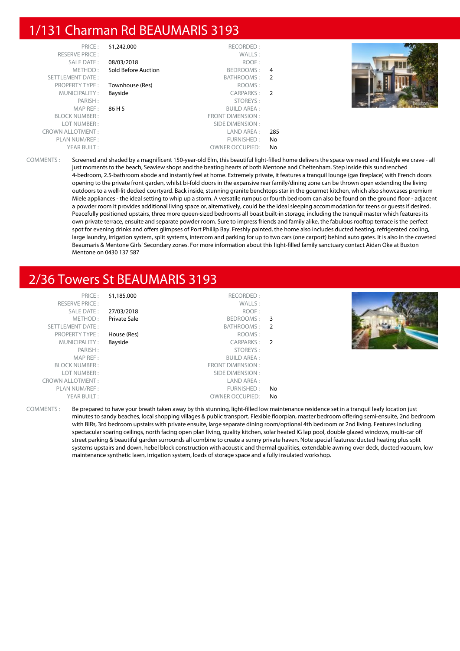# 1/131 Charman Rd BEAUMARIS 3193

| PRICE:                  | \$1,242,000         | RECORDED:              |                |  |
|-------------------------|---------------------|------------------------|----------------|--|
| <b>RESERVE PRICE:</b>   |                     | WALLS:                 |                |  |
| <b>SALE DATE:</b>       | 08/03/2018          | ROOF:                  |                |  |
| METHOD:                 | Sold Before Auction | BEDROOMS:              | 4              |  |
| <b>SETTLEMENT DATE:</b> |                     | BATHROOMS:             | -2             |  |
| <b>PROPERTY TYPE:</b>   | Townhouse (Res)     | ROOMS:                 |                |  |
| MUNICIPALITY:           | Bayside             | CARPARKS:              | $\overline{2}$ |  |
| PARISH:                 |                     | STOREYS:               |                |  |
| MAP REF:                | 86 H 5              | <b>BUILD AREA:</b>     |                |  |
| <b>BLOCK NUMBER:</b>    |                     | FRONT DIMENSION:       |                |  |
| LOT NUMBER:             |                     | SIDE DIMENSION :       |                |  |
| <b>CROWN ALLOTMENT:</b> |                     | LAND AREA :            | 285            |  |
| PLAN NUM/REF :          |                     | FURNISHED:             | No             |  |
| YEAR BUILT:             |                     | <b>OWNER OCCUPIED:</b> | No             |  |
|                         |                     |                        |                |  |



COMMENTS : Screened and shaded by a magnificent 150-year-old Elm, this beautiful light-filled home delivers the space we need and lifestyle we crave - all just moments to the beach, Seaview shops and the beating hearts of both Mentone and Cheltenham. Step inside this sundrenched 4-bedroom, 2.5-bathroom abode and instantly feel at home. Extremely private, it features a tranquil lounge (gas fireplace) with French doors opening to the private front garden, whilst bi-fold doors in the expansive rear family/dining zone can be thrown open extending the living outdoors to a well-lit decked courtyard. Back inside, stunning granite benchtops star in the gourmet kitchen, which also showcases premium Miele appliances - the ideal setting to whip up a storm. A versatile rumpus or fourth bedroom can also be found on the ground floor - adjacent a powder room it provides additional living space or, alternatively, could be the ideal sleeping accommodation for teens or guests if desired. Peacefully positioned upstairs, three more queen-sized bedrooms all boast built-in storage, including the tranquil master which features its own private terrace, ensuite and separate powder room. Sure to impress friends and family alike, the fabulous rooftop terrace is the perfect spot for evening drinks and offers glimpses of Port Phillip Bay. Freshly painted, the home also includes ducted heating, refrigerated cooling, large laundry, irrigation system, split systems, intercom and parking for up to two cars (one carport) behind auto gates. It is also in the coveted Beaumaris & Mentone Girls' Secondary zones. For more information about this light-filled family sanctuary contact Aidan Oke at Buxton Mentone on 0430 137 587

# 2/36 Towers St BEAUMARIS 3193

| PRICE:<br><b>RESERVE PRICE:</b><br>SALE DATE:<br>METHOD:<br>SETTLEMENT DATE:<br><b>PROPERTY TYPE:</b><br>MUNICIPALITY:<br>PARISH:<br>MAP REF:<br><b>BLOCK NUMBER:</b><br>LOT NUMBER:<br><b>CROWN ALLOTMENT:</b><br>PLAN NUM/REF: | \$1,185,000<br>27/03/2018<br>Private Sale<br>House (Res)<br>Bayside | RECORDED:<br>WALLS:<br>ROOF:<br>BEDROOMS: 3<br>BATHROOMS: 2<br>ROOMS:<br>CARPARKS: 2<br>STOREYS:<br><b>BUILD AREA:</b><br>FRONT DIMENSION:<br>SIDE DIMENSION:<br>LAND AREA:<br>FURNISHED: | No |  |
|----------------------------------------------------------------------------------------------------------------------------------------------------------------------------------------------------------------------------------|---------------------------------------------------------------------|-------------------------------------------------------------------------------------------------------------------------------------------------------------------------------------------|----|--|
| YEAR BUILT:                                                                                                                                                                                                                      |                                                                     | <b>OWNER OCCUPIED:</b>                                                                                                                                                                    | No |  |

COMMENTS : Be prepared to have your breath taken away by this stunning, light-filled low maintenance residence set in a tranquil leafy location just minutes to sandy beaches, local shopping villages & public transport. Flexible floorplan, master bedroom offering semi-ensuite, 2nd bedroom with BIRs, 3rd bedroom upstairs with private ensuite, large separate dining room/optional 4th bedroom or 2nd living. Features including spectacular soaring ceilings, north facing open plan living, quality kitchen, solar heated IG lap pool, double glazed windows, multi-car off street parking & beautiful garden surrounds all combine to create a sunny private haven. Note special features: ducted heating plus split systems upstairs and down, hebel block construction with acoustic and thermal qualities, extendable awning over deck, ducted vacuum, low maintenance synthetic lawn, irrigation system, loads of storage space and a fully insulated workshop.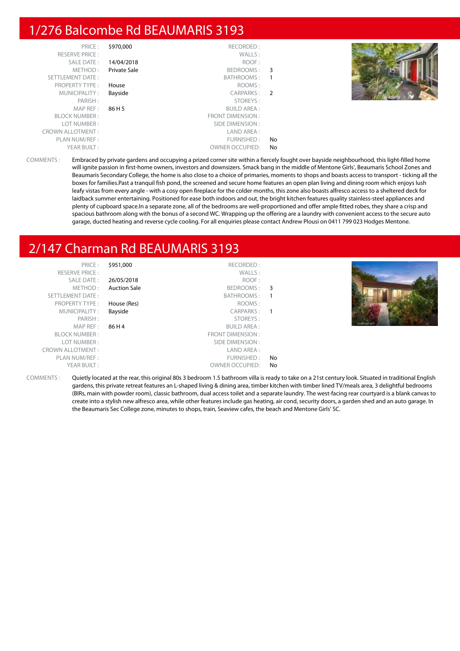# 1/276 Balcombe Rd BEAUMARIS 3193

|     | RECORDED:              | \$970,000           | PRICE:                  |
|-----|------------------------|---------------------|-------------------------|
|     | WALLS:                 |                     | <b>RESERVE PRICE:</b>   |
|     | ROOF:                  | 14/04/2018          | SALE DATE:              |
|     | BEDROOMS: 3            | <b>Private Sale</b> | METHOD:                 |
|     | BATHROOMS:             |                     | SETTLEMENT DATE:        |
|     | ROOMS:                 | House               | <b>PROPERTY TYPE:</b>   |
|     | CARPARKS: 2            | Bayside             | MUNICIPALITY:           |
|     | STOREYS:               |                     | PARISH:                 |
|     | <b>BUILD AREA:</b>     | 86 H 5              | MAPREF:                 |
|     | FRONT DIMENSION :      |                     | <b>BLOCK NUMBER:</b>    |
|     | SIDE DIMENSION :       |                     | LOT NUMBER:             |
|     | LAND AREA :            |                     | <b>CROWN ALLOTMENT:</b> |
| No  | FURNISHED:             |                     | PLAN NUM/REF :          |
| No. | <b>OWNER OCCUPIED:</b> |                     | YEAR BUILT:             |

COMMENTS : Embraced by private gardens and occupying a prized corner site within a fiercely fought over bayside neighbourhood, this light-filled home will ignite passion in first-home owners, investors and downsizers. Smack bang in the middle of Mentone Girls', Beaumaris School Zones and Beaumaris Secondary College, the home is also close to a choice of primaries, moments to shops and boasts access to transport - ticking all the boxes for families.Past a tranquil fish pond, the screened and secure home features an open plan living and dining room which enjoys lush leafy vistas from every angle - with a cosy open fireplace for the colder months, this zone also boasts alfresco access to a sheltered deck for laidback summer entertaining. Positioned for ease both indoors and out, the bright kitchen features quality stainless-steel appliances and plenty of cupboard space.In a separate zone, all of the bedrooms are well-proportioned and offer ample fitted robes, they share a crisp and spacious bathroom along with the bonus of a second WC. Wrapping up the offering are a laundry with convenient access to the secure auto garage, ducted heating and reverse cycle cooling. For all enquiries please contact Andrew Plousi on 0411 799 023 Hodges Mentone.

# 2/147 Charman Rd BEAUMARIS 3193

PRICE : \$951,000 RECORDED : RESERVE PRICE : WALLS : SALE DATE : 26/05/2018 ROOF : METHOD : **Auction Sale BEDROOMS** : 3 SETTLEMENT DATE : SETTLEMENT DATE : SATHROOMS : 1 PROPERTY TYPE : **House (Res)** ROOMS : MUNICIPALITY : **Bayside CARPARKS** : **1** PARISH : STOREYS : STOREYS : STOREYS : STOREYS : STOREYS : STOREYS : STOREYS : STOREYS : STOREYS : STOREYS : STOREYS : STOREYS : STOREYS : STOREYS : STOREYS : STOREYS : STOREYS : STOREYS : STOREYS : STOREYS : STOREYS : STO MAP REF : 86 H 4 BUILD AREA : FRONT DIMENSION : LOT NUMBER : SIDE DIMENSION :<br>
VALLOTMENT : SIDE DIMENSION : SIDE DIMENSION : CROWN ALLOTMENT: PLAN NUM/REF : THE STATE OF THE STATE OF THE STATE OF THE STATE OF THE STATE OF THE STATE OF THE STATE OF THE STATE OF THE STATE OF THE STATE OF THE STATE OF THE STATE OF THE STATE OF THE STATE OF THE STATE OF THE STATE OF YEAR BUILT : OWNER OCCUPIED: No



COMMENTS : Quietly located at the rear, this original 80s 3 bedroom 1.5 bathroom villa is ready to take on a 21st century look. Situated in traditional English gardens, this private retreat features an L-shaped living & dining area, timber kitchen with timber lined TV/meals area, 3 delightful bedrooms (BIRs, main with powder room), classic bathroom, dual access toilet and a separate laundry. The west-facing rear courtyard is a blank canvas to create into a stylish new alfresco area, while other features include gas heating, air cond, security doors, a garden shed and an auto garage. In the Beaumaris Sec College zone, minutes to shops, train, Seaview cafes, the beach and Mentone Girls' SC.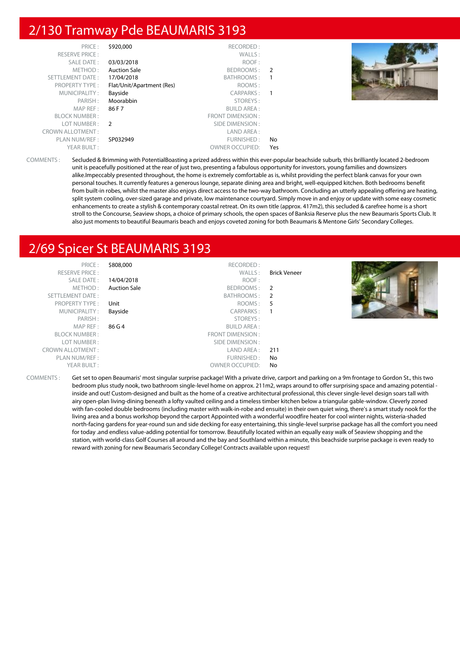# 2/130 Tramway Pde BEAUMARIS 3193

| PRICE:                  | \$920,000                 | RECORDED:              |                |  |
|-------------------------|---------------------------|------------------------|----------------|--|
|                         |                           |                        |                |  |
| <b>RESERVE PRICE:</b>   |                           | WALLS:                 |                |  |
| SALE DATE:              | 03/03/2018                | ROOF:                  |                |  |
| METHOD:                 | <b>Auction Sale</b>       | BEDROOMS:              | $\overline{2}$ |  |
| SETTLEMENT DATE:        | 17/04/2018                | BATHROOMS:             |                |  |
| <b>PROPERTY TYPE:</b>   | Flat/Unit/Apartment (Res) | ROOMS:                 |                |  |
| MUNICIPALITY:           | Bayside                   | CARPARKS:              | $\overline{1}$ |  |
| PARISH:                 | Moorabbin                 | STOREYS:               |                |  |
| MAP REF:                | 86 F 7                    | <b>BUILD AREA:</b>     |                |  |
| <b>BLOCK NUMBER:</b>    |                           | FRONT DIMENSION:       |                |  |
| LOT NUMBER:             | $\overline{2}$            | SIDE DIMENSION :       |                |  |
| <b>CROWN ALLOTMENT:</b> |                           | LAND AREA:             |                |  |
| PLAN NUM/REF :          | SP032949                  | FURNISHED:             | No             |  |
| YEAR BUILT:             |                           | <b>OWNER OCCUPIED:</b> | Yes            |  |
|                         |                           |                        |                |  |



COMMENTS : Secluded & Brimming with PotentialBoasting a prized address within this ever-popular beachside suburb, this brilliantly located 2-bedroom unit is peacefully positioned at the rear of just two, presenting a fabulous opportunity for investors, young families and downsizers alike.Impeccably presented throughout, the home is extremely comfortable as is, whilst providing the perfect blank canvas for your own personal touches. It currently features a generous lounge, separate dining area and bright, well-equipped kitchen. Both bedrooms benefit from built-in robes, whilst the master also enjoys direct access to the two-way bathroom. Concluding an utterly appealing offering are heating, split system cooling, over-sized garage and private, low maintenance courtyard. Simply move in and enjoy or update with some easy cosmetic enhancements to create a stylish & contemporary coastal retreat. On its own title (approx. 417m2), this secluded & carefree home is a short stroll to the Concourse, Seaview shops, a choice of primary schools, the open spaces of Banksia Reserve plus the new Beaumaris Sports Club. It also just moments to beautiful Beaumaris beach and enjoys coveted zoning for both Beaumaris & Mentone Girls' Secondary Colleges.

# 2/69 Spicer St BEAUMARIS 3193

| PRICE:                  | \$808,000           | RECORDED:          |              |  |
|-------------------------|---------------------|--------------------|--------------|--|
| <b>RESERVE PRICE:</b>   |                     | WALLS:             | Brick Veneer |  |
| SALE DATE:              | 14/04/2018          | ROOF:              |              |  |
| METHOD:                 | <b>Auction Sale</b> | BEDROOMS: 2        |              |  |
| SETTLEMENT DATE:        |                     | BATHROOMS: 2       |              |  |
| PROPERTY TYPE:          | Unit                | ROOMS :            | -5           |  |
| MUNICIPALITY:           | Bayside             | CARPARKS:          | $\mathbf{1}$ |  |
| PARISH:                 |                     | STOREYS:           |              |  |
| MAPREF:                 | 86 G 4              | <b>BUILD AREA:</b> |              |  |
| <b>BLOCK NUMBER:</b>    |                     | FRONT DIMENSION :  |              |  |
| LOT NUMBER:             |                     | SIDE DIMENSION :   |              |  |
| <b>CROWN ALLOTMENT:</b> |                     | LAND AREA :        | 211          |  |
| PLAN NUM/REF :          |                     | FURNISHED:         | No           |  |
| YEAR BUILT:             |                     | OWNER OCCUPIED:    | No.          |  |
|                         |                     |                    |              |  |

COMMENTS : Get set to open Beaumaris' most singular surprise package! With a private drive, carport and parking on a 9m frontage to Gordon St., this two bedroom plus study nook, two bathroom single-level home on approx. 211m2, wraps around to offer surprising space and amazing potential inside and out! Custom-designed and built as the home of a creative architectural professional, this clever single-level design soars tall with airy open-plan living-dining beneath a lofty vaulted ceiling and a timeless timber kitchen below a triangular gable-window. Cleverly zoned with fan-cooled double bedrooms (including master with walk-in-robe and ensuite) in their own quiet wing, there's a smart study nook for the living area and a bonus workshop beyond the carport Appointed with a wonderful woodfire heater for cool winter nights, wisteria-shaded north-facing gardens for year-round sun and side decking for easy entertaining, this single-level surprise package has all the comfort you need for today .and endless value-adding potential for tomorrow. Beautifully located within an equally easy walk of Seaview shopping and the station, with world-class Golf Courses all around and the bay and Southland within a minute, this beachside surprise package is even ready to reward with zoning for new Beaumaris Secondary College! Contracts available upon request!